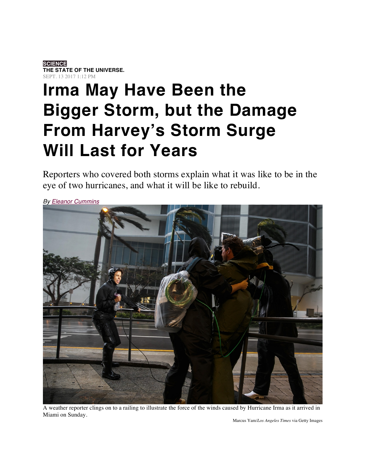## **SCIENCE THE STATE OF THE UNIVERSE.** SEPT. 13 2017 1:12 PM

## **Irma May Have Been the Bigger Storm, but the Damage From Harvey's Storm Surge Will Last for Years**

Reporters who covered both storms explain what it was like to be in the eye of two hurricanes, and what it will be like to rebuild.



*By Eleanor Cummins*

A weather reporter clings on to a railing to illustrate the force of the winds caused by Hurricane Irma as it arrived in Miami on Sunday.

Marcus Yam/*Los Angeles Times* via Getty Images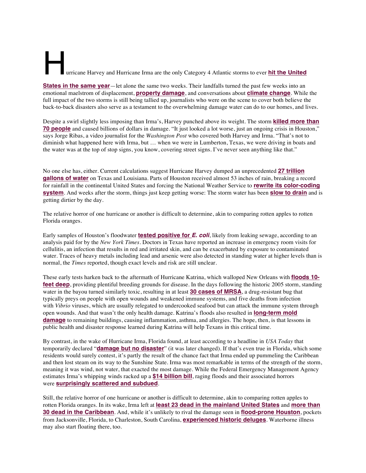## urricane Harvey and Hurricane Irma are the only Category 4 Atlantic storms to ever **hit the United**

**States in the same year**—let alone the same two weeks. Their landfalls turned the past few weeks into an emotional maelstrom of displacement, **property damage**, and conversations about **climate change**. While the full impact of the two storms is still being tallied up, journalists who were on the scene to cover both believe the back-to-back disasters also serve as a testament to the overwhelming damage water can do to our homes, and lives.

Despite a swirl slightly less imposing than Irma's, Harvey punched above its weight. The storm **killed more than 70 people** and caused billions of dollars in damage. "It just looked a lot worse, just an ongoing crisis in Houston," says Jorge Ribas, a video journalist for the *Washington Post* who covered both Harvey and Irma. "That's not to diminish what happened here with Irma, but … when we were in Lumberton, Texas, we were driving in boats and the water was at the top of stop signs, you know, covering street signs. I've never seen anything like that."

No one else has, either. Current calculations suggest Hurricane Harvey dumped an unprecedented **27 trillion gallons of water** on Texas and Louisiana. Parts of Houston received almost 53 inches of rain, breaking a record for rainfall in the continental United States and forcing the National Weather Service to **rewrite its color-coding system**. And weeks after the storm, things just keep getting worse: The storm water has been **slow to drain** and is getting dirtier by the day.

The relative horror of one hurricane or another is difficult to determine, akin to comparing rotten apples to rotten Florida oranges.

Early samples of Houston's floodwater **tested positive for** *E. coli*, likely from leaking sewage, according to an analysis paid for by the *New York Times.* Doctors in Texas have reported an increase in emergency room visits for cellulitis, an infection that results in red and irritated skin, and can be exacerbated by exposure to contaminated water. Traces of heavy metals including lead and arsenic were also detected in standing water at higher levels than is normal, the *Times* reported, though exact levels and risk are still unclear.

These early tests harken back to the aftermath of Hurricane Katrina, which walloped New Orleans with **floods 10 feet deep**, providing plentiful breeding grounds for disease. In the days following the historic 2005 storm, standing water in the bayou turned similarly toxic, resulting in at least **30 cases of MRSA**, a drug-resistant bug that typically preys on people with open wounds and weakened immune systems, and five deaths from infection with *Vibrio* viruses, which are usually relegated to undercooked seafood but can attack the immune system through open wounds. And that wasn't the only health damage. Katrina's floods also resulted in **long-term mold damage** to remaining buildings, causing inflammation, asthma, and allergies. The hope, then, is that lessons in public health and disaster response learned during Katrina will help Texans in this critical time.

By contrast, in the wake of Hurricane Irma, Florida found, at least according to a headline in *USA Today* that temporarily declared "**damage but no disaster**" (it was later changed). If that's even true in Florida, which some residents would surely contest, it's partly the result of the chance fact that Irma ended up pummeling the Caribbean and then lost steam on its way to the Sunshine State. Irma was most remarkable in terms of the strength of the storm, meaning it was wind, not water, that exacted the most damage. While the Federal Emergency Management Agency estimates Irma's whipping winds racked up a **\$14 billion bill**, raging floods and their associated horrors were **surprisingly scattered and subdued**.

Still, the relative horror of one hurricane or another is difficult to determine, akin to comparing rotten apples to rotten Florida oranges. In its wake, Irma left at **least 23 dead in the mainland United States** and **more than 30 dead in the Caribbean**. And, while it's unlikely to rival the damage seen in **flood-prone Houston**, pockets from Jacksonville, Florida, to Charleston, South Carolina, **experienced historic deluges**. Waterborne illness may also start floating there, too.